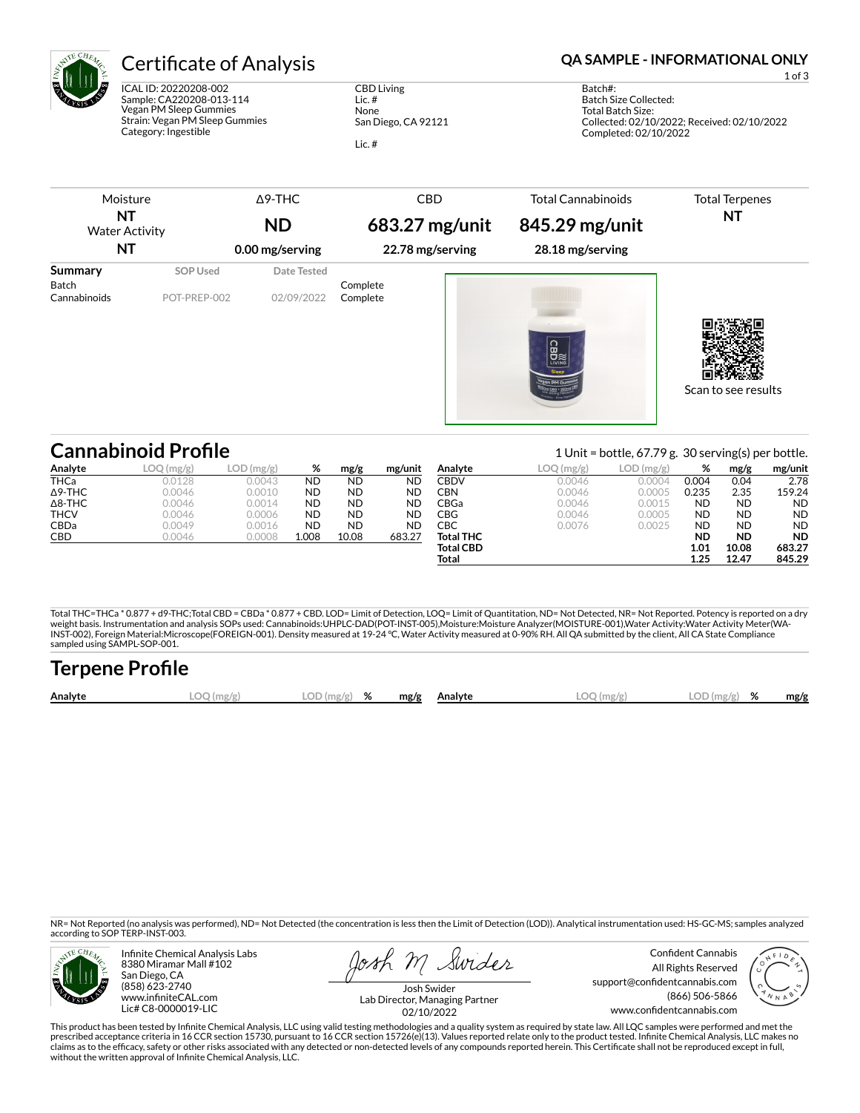

ICAL ID: 20220208-002 Sample: CA220208-013-114 Vegan PM Sleep Gummies Strain: Vegan PM Sleep Gummies Category: Ingestible

CBD Living Lic. # None San Diego, CA 92121

Lic. #

# Certificate of Analysis **Certificate of Analysis QA SAMPLE - INFORMATIONAL ONLY**

1 of 3

Batch#: Batch Size Collected: Total Batch Size: Collected: 02/10/2022; Received: 02/10/2022 Completed: 02/10/2022

| NT<br><b>Water Activity</b><br>NT       |                          | <b>ND</b><br>0.00 mg/serving | 683.27 mg/unit<br>22.78 mg/serving | 845.29 mg/unit<br>28.18 mg/serving | <b>Total Terpenes</b><br>NT |
|-----------------------------------------|--------------------------|------------------------------|------------------------------------|------------------------------------|-----------------------------|
| Summary<br><b>Batch</b><br>Cannabinoids | SOP Used<br>POT-PREP-002 | Date Tested<br>02/09/2022    | Complete<br>Complete               | <b>CBD</b>                         |                             |

Scan to see results

|                | <b>Cannabinoid Profile</b> |           |           |           |           |                  | 1 Unit = bottle, $67.79$ g. 30 serving(s) per bottle. |              |           |           |           |  |
|----------------|----------------------------|-----------|-----------|-----------|-----------|------------------|-------------------------------------------------------|--------------|-----------|-----------|-----------|--|
| Analyte        | LOQ (mg/g)                 | LOD(mg/g) | %         | mg/g      | mg/unit   | Analyte          | LOQ(mg/g)                                             | $LOD$ (mg/g) | %         | mg/g      | mg/unit   |  |
| <b>THCa</b>    | 0.0128                     | 0.0043    | <b>ND</b> | <b>ND</b> | <b>ND</b> | CBDV             | 0.0046                                                | 0.0004       | 0.004     | 0.04      | 2.78      |  |
| $\Delta$ 9-THC | 0.0046                     | 0.0010    | <b>ND</b> | <b>ND</b> | <b>ND</b> | CBN              | 0.0046                                                | 0.0005       | 0.235     | 2.35      | 159.24    |  |
| $\Delta$ 8-THC | 0.0046                     | 0.0014    | <b>ND</b> | <b>ND</b> | <b>ND</b> | CBGa             | 0.0046                                                | 0.0015       | <b>ND</b> | <b>ND</b> | <b>ND</b> |  |
| <b>THCV</b>    | 0.0046                     | 0.0006    | <b>ND</b> | <b>ND</b> | <b>ND</b> | CBG              | 0.0046                                                | 0.0005       | <b>ND</b> | <b>ND</b> | <b>ND</b> |  |
| <b>CBDa</b>    | 0.0049                     | 0.0016    | <b>ND</b> | <b>ND</b> | <b>ND</b> | СВС              | 0.0076                                                | 0.0025       | <b>ND</b> | <b>ND</b> | <b>ND</b> |  |
| <b>CBD</b>     | 0.0046                     | 0.0008    | 1.008     | 10.08     | 683.27    | <b>Total THC</b> |                                                       |              | ND        | <b>ND</b> | <b>ND</b> |  |
|                |                            |           |           |           |           | <b>Total CBD</b> |                                                       |              | 1.01      | 10.08     | 683.27    |  |
|                |                            |           |           |           |           | Total            |                                                       |              | 1.25      | 12.47     | 845.29    |  |

Total THC=THCa \* 0.877 + d9-THC;Total CBD = CBDa \* 0.877 + CBD. LOD= Limit of Detection, LOQ= Limit of Quantitation, ND= Not Detected, NR= Not Reported. Potency is reported on a dry<br>weight basis. Instrumentation and analys INST-002), Foreign Material:Microscope(FOREIGN-001). Density measured at 19-24 °C, Water Activity measured at 0-90% RH. All QA submitted by the client, All CA State Compliance sampled using SAMPL-SOP-001.

| <b>Terpene Profile</b> |            |               |  |              |              |               |      |
|------------------------|------------|---------------|--|--------------|--------------|---------------|------|
| Analyte                | LOO (mg/g) | $LOD(mg/g)$ % |  | mg/g Analyte | $LOO$ (mg/g) | $LOD(mg/g)$ % | mg/g |

NR= Not Reported (no analysis was performed), ND= Not Detected (the concentration is less then the Limit of Detection (LOD)). Analytical instrumentation used: HS-GC-MS; samples analyzed according to SOP TERP-INST-003.



Infinite Chemical Analysis Labs 8380 Miramar Mall #102 San Diego, CA (858) 623-2740 www.infiniteCAL.com Lic# C8-0000019-LIC

losh M Swider

Confident Cannabis All Rights Reserved support@confidentcannabis.com (866) 506-5866 www.confidentcannabis.com



Josh Swider Lab Director, Managing Partner 02/10/2022

This product has been tested by Infinite Chemical Analysis, LLC using valid testing methodologies and a quality system as required by state law. All LQC samples were performed and met the prescribed acceptance criteria in 16 CCR section 15730, pursuant to 16 CCR section 15726(e)(13). Values reported relate only to the product tested. Infinite Chemical Analysis, LLC makes no<br>claims as to the efficacy, safety without the written approval of Infinite Chemical Analysis, LLC.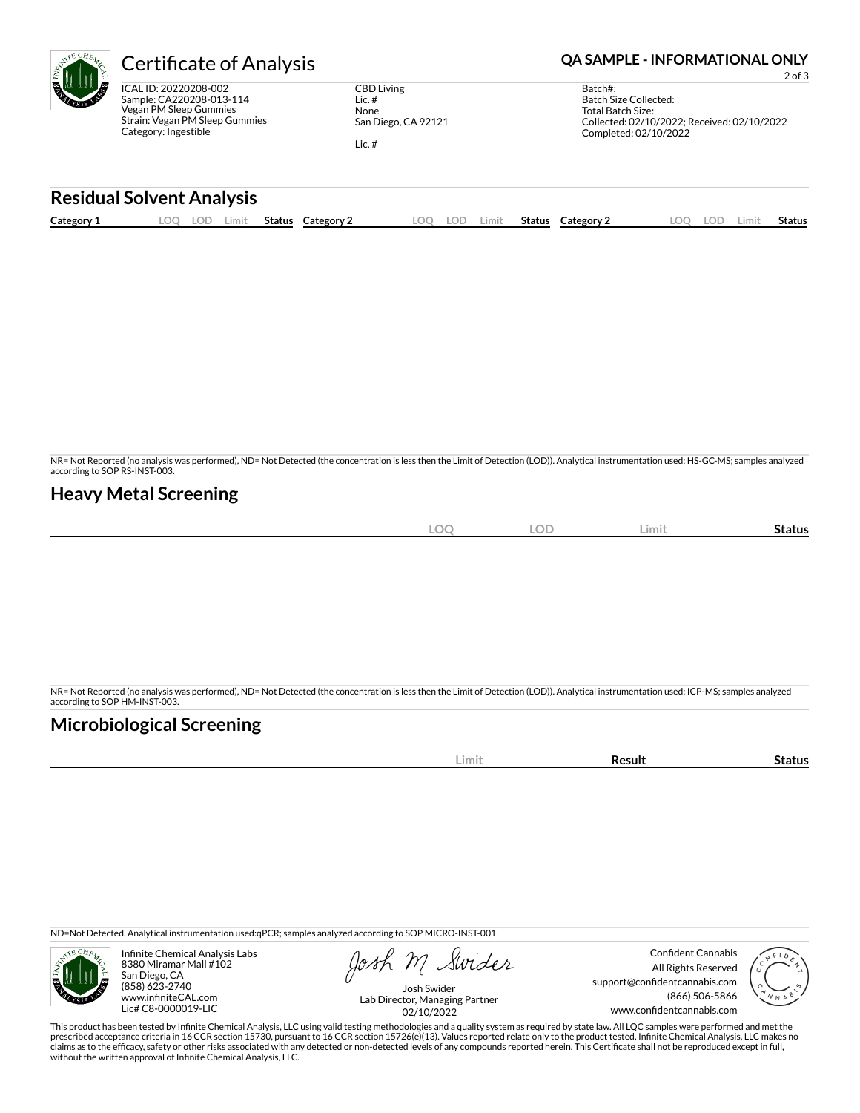

Sample: CA220208-013-114 Vegan PM Sleep Gummies Strain: Vegan PM Sleep Gummies Category: Ingestible

CBD Living Lic. # None San Diego, CA 92121

Lic. #

# **Certificate of Analysis <b>Certificate of Analysis QA SAMPLE - INFORMATIONAL ONLY**

2 of 3

| Batch#:                                     |
|---------------------------------------------|
| Batch Size Collected:                       |
| Total Batch Size:                           |
| Collected: 02/10/2022; Received: 02/10/2022 |
| Completed: 02/10/2022                       |
|                                             |

### **Residual Solvent Analysis**

| Category 1 | $\Omega$ | LOD | Limit | <b>Status</b> | Category: | .OO | LOD | ∟imit | Status | <b>Category 2</b> | .OO | LOD. | .imit | Status |
|------------|----------|-----|-------|---------------|-----------|-----|-----|-------|--------|-------------------|-----|------|-------|--------|
|            |          |     |       |               |           |     |     |       |        |                   |     |      |       |        |

NR= Not Reported (no analysis was performed), ND= Not Detected (the concentration is less then the Limit of Detection (LOD)). Analytical instrumentation used: HS-GC-MS; samples analyzed according to SOP RS-INST-003.

### **Heavy Metal Screening**

| <b>LOC</b> | <b>LOD</b> | Limit | -<br>Status |
|------------|------------|-------|-------------|
|            |            |       |             |

NR= Not Reported (no analysis was performed), ND= Not Detected (the concentration is less then the Limit of Detection (LOD)). Analytical instrumentation used: ICP-MS; samples analyzed according to SOP HM-INST-003.

## **Microbiological Screening**

|  |  | im<br>. | . <b>. . .</b> . |  |
|--|--|---------|------------------|--|
|--|--|---------|------------------|--|

ND=Not Detected. Analytical instrumentation used:qPCR; samples analyzed according to SOP MICRO-INST-001.



Infinite Chemical Analysis Labs 8380 Miramar Mall #102 San Diego, CA (858) 623-2740 www.infiniteCAL.com Lic# C8-0000019-LIC

Swider

Confident Cannabis All Rights Reserved support@confidentcannabis.com (866) 506-5866 www.confidentcannabis.com



Josh Swider Lab Director, Managing Partner 02/10/2022

This product has been tested by Infinite Chemical Analysis, LLC using valid testing methodologies and a quality system as required by state law. All LQC samples were performed and met the prescribed acceptance criteria in 16 CCR section 15730, pursuant to 16 CCR section 15726(e)(13). Values reported relate only to the product tested. Infinite Chemical Analysis, LLC makes no<br>claims as to the efficacy, safety without the written approval of Infinite Chemical Analysis, LLC.